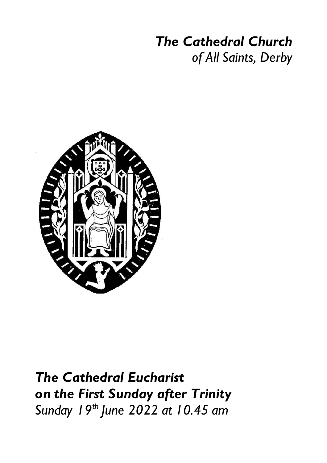# *The Cathedral Church*

*of All Saints, Derby*



*The Cathedral Eucharist on the First Sunday after Trinity Sunday 19th June 2022 at 10.45 am*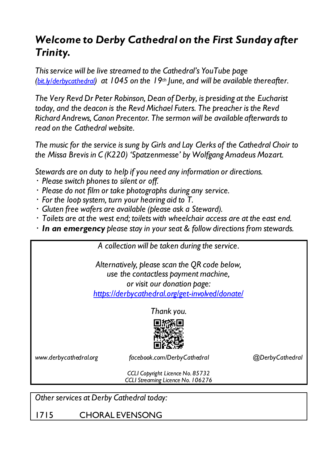## *Welcome to Derby Cathedral on the First Sunday after Trinity.*

*This service will be live streamed to the Cathedral's YouTube page (bit.ly/derbycathedral) at 1045 on the 19th June, and will be available thereafter.*

*The Very Revd Dr Peter Robinson, Dean of Derby, is presiding at the Eucharist today, and the deacon is the Revd Michael Futers. The preacher is the Revd Richard Andrews, Canon Precentor. The sermon will be available afterwards to read on the Cathedral website.*

*The music for the service is sung by Girls and Lay Clerks of the Cathedral Choir to the Missa Brevis in C (K220) 'Spatzenmesse' by Wolfgang Amadeus Mozart.*

*Stewards are on duty to help if you need any information or directions.*

- *Please switch phones to silent or off.*
- *Please do not film or take photographs during any service.*
- *For the loop system, turn your hearing aid to T.*
- *Gluten free wafers are available (please ask a Steward).*
- *Toilets are at the west end; toilets with wheelchair access are at the east end.*
- *In an emergency please stay in your seat & follow directions from stewards.*

|                                                                                                                                                                         | A collection will be taken during the service.                        |                 |
|-------------------------------------------------------------------------------------------------------------------------------------------------------------------------|-----------------------------------------------------------------------|-----------------|
| Alternatively, please scan the QR code below,<br>use the contactless payment machine,<br>or visit our donation page:<br>https://derbycathedral.org/get-involved/donate/ |                                                                       |                 |
| Thank you.                                                                                                                                                              |                                                                       |                 |
|                                                                                                                                                                         |                                                                       |                 |
| www.derbycathedral.org                                                                                                                                                  | facebook.com/DerbyCathedral                                           | @DerbyCathedral |
|                                                                                                                                                                         | CCLI Copyright Licence No. 85732<br>CCLI Streaming Licence No. 106276 |                 |

*Other services at Derby Cathedral today:*

1715 CHORAL EVENSONG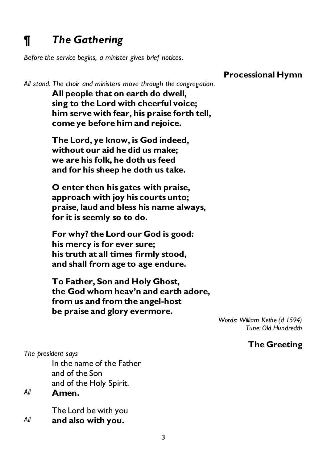## *¶ The Gathering*

*Before the service begins, a minister gives brief notices.*

**Processional Hymn**

*All stand. The choir and ministers move through the congregation.* 

**All people that on earth do dwell, sing to the Lord with cheerful voice; him serve with fear, his praise forth tell, come ye before him and rejoice.**

**The Lord, ye know, is God indeed, without our aid he did us make; we are his folk, he doth us feed and for his sheep he doth us take.**

**O enter then his gates with praise, approach with joy his courts unto; praise, laud and bless his name always, for it is seemly so to do.**

**For why? the Lord our God is good: his mercy is for ever sure; his truth at all times firmly stood, and shall from age to age endure.**

**To Father, Son and Holy Ghost, the God whom heav'n and earth adore, from us and from the angel-host be praise and glory evermore.**

> *Words: William Kethe (d 1594) Tune: Old Hundredth*

#### **The Greeting**

*The president says*

In the name of the Father and of the Son and of the Holy Spirit.

*All* **Amen.**

The Lord be with you *All* **and also with you.**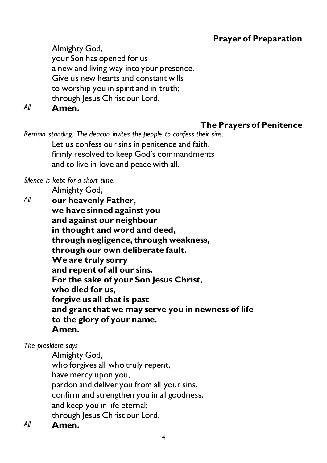#### **Prayer of Preparation**

Almighty God,

your Son has opened for us

a new and living way into your presence.

Give us new hearts and constant wills

to worship you in spirit and in truth;

through Jesus Christ our Lord.

*All* **Amen.**

#### **The Prayers of Penitence**

*Remain standing. The deacon invites the people to confess their sins.* Let us confess our sins in penitence and faith, firmly resolved to keep God's commandments and to live in love and peace with all.

*Silence is kept for a short time.*

Almighty God,

*All* **our heavenly Father, we have sinned against you and against our neighbour in thought and word and deed, through negligence, through weakness, through our own deliberate fault. We are truly sorry and repent of all our sins. For the sake of your Son Jesus Christ, who died for us, forgive us all that is past and grant that we may serve you in newness of life to the glory of your name. Amen.**

#### *The president says*

Almighty God, who forgives all who truly repent, have mercy upon you, pardon and deliver you from all your sins, confirm and strengthen you in all goodness, and keep you in life eternal; through Jesus Christ our Lord. *All* **Amen.**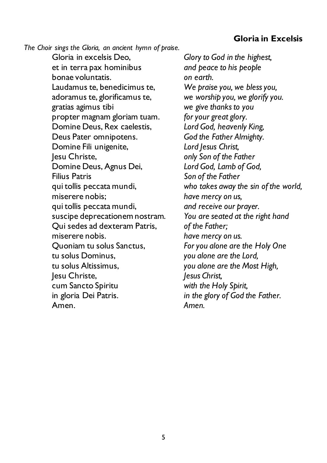#### **Gloria in Excelsis**

*The Choir sings the Gloria, an ancient hymn of praise.*

Gloria in excelsis Deo, et in terra pax hominibus bonae voluntatis. Laudamus te, benedicimus te, adoramus te, glorificamus te, gratias agimus tibi propter magnam gloriam tuam. Domine Deus, Rex caelestis, Deus Pater omnipotens. Domine Fili unigenite, Jesu Christe, Domine Deus, Agnus Dei, Filius Patris qui tollis peccata mundi, miserere nobis; qui tollis peccata mundi, suscipe deprecationem nostram. Qui sedes ad dexteram Patris, miserere nobis. Quoniam tu solus Sanctus, tu solus Dominus, tu solus Altissimus, Jesu Christe, cum Sancto Spiritu in gloria Dei Patris. Amen.

*Glory to God in the highest, and peace to his people on earth. We praise you, we bless you, we worship you, we glorify you. we give thanks to you for your great glory. Lord God, heavenly King, God the Father Almighty. Lord Jesus Christ, only Son of the Father Lord God, Lamb of God, Son of the Father who takes away the sin of the world, have mercy on us, and receive our prayer. You are seated at the right hand of the Father; have mercy on us. For you alone are the Holy One you alone are the Lord, you alone are the Most High, Jesus Christ, with the Holy Spirit, in the glory of God the Father. Amen.*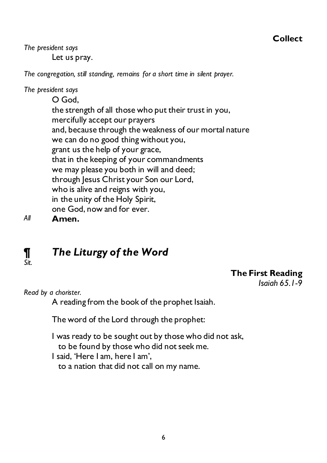#### **Collect**

*The president says* Let us pray.

*The congregation, still standing, remains for a short time in silent prayer.*

#### *The president says*

O God, the strength of all those who put their trust in you, mercifully accept our prayers and, because through the weakness of our mortal nature we can do no good thing without you, grant us the help of your grace, that in the keeping of your commandments we may please you both in will and deed; through Jesus Christ your Son our Lord, who is alive and reigns with you, in the unity of the Holy Spirit, one God, now and for ever.

*All* **Amen.**

*Sit.*

## *¶ The Liturgy of the Word*

#### **The First Reading**

*Isaiah 65.1-9*

*Read by a chorister.*

A reading from the book of the prophet Isaiah.

The word of the Lord through the prophet:

I was ready to be sought out by those who did not ask, to be found by those who did not seek me. I said, 'Here I am, here I am', to a nation that did not call on my name.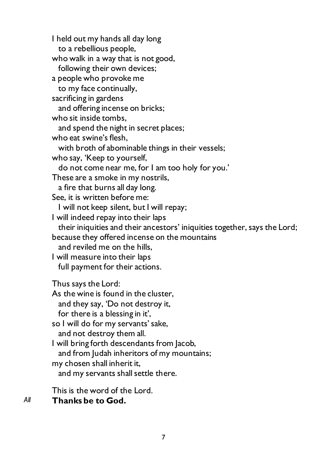I held out my hands all day long to a rebellious people, who walk in a way that is not good, following their own devices; a people who provoke me to my face continually, sacrificing in gardens and offering incense on bricks; who sit inside tombs, and spend the night in secret places; who eat swine's flesh, with broth of abominable things in their vessels; who say, 'Keep to yourself, do not come near me, for I am too holy for you.' These are a smoke in my nostrils, a fire that burns all day long. See, it is written before me: I will not keep silent, but I will repay; I will indeed repay into their laps their iniquities and their ancestors' iniquities together, says the Lord; because they offered incense on the mountains and reviled me on the hills, I will measure into their laps full payment for their actions. Thus says the Lord: As the wine is found in the cluster, and they say, 'Do not destroy it, for there is a blessing in it', so I will do for my servants' sake, and not destroy them all. I will bring forth descendants from Jacob, and from Judah inheritors of my mountains; my chosen shall inherit it, and my servants shall settle there.

This is the word of the Lord.

*All* **Thanks be to God.**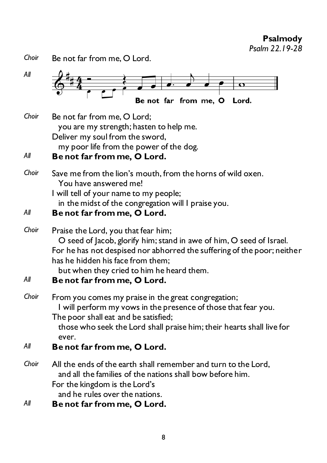**Psalmody** *Psalm 22.19-28*

*Choir* Be not far from me, O Lord.

| All          | Be not far from me, O<br>Lord.                                                                                                                                                                                                                                                                          |
|--------------|---------------------------------------------------------------------------------------------------------------------------------------------------------------------------------------------------------------------------------------------------------------------------------------------------------|
| Choir        | Be not far from me, O Lord;<br>you are my strength; hasten to help me.<br>Deliver my soul from the sword,<br>my poor life from the power of the dog.                                                                                                                                                    |
| All          | Be not far from me, O Lord.                                                                                                                                                                                                                                                                             |
| Choir        | Save me from the lion's mouth, from the horns of wild oxen.<br>You have answered me!<br>I will tell of your name to my people;<br>in the midst of the congregation will I praise you.                                                                                                                   |
| All          | Be not far from me, O Lord.                                                                                                                                                                                                                                                                             |
| Choir<br>All | Praise the Lord, you that fear him;<br>O seed of Jacob, glorify him; stand in awe of him, O seed of Israel.<br>For he has not despised nor abhorred the suffering of the poor; neither<br>has he hidden his face from them;<br>but when they cried to him he heard them.<br>Be not far from me, O Lord. |
| Choir        | From you comes my praise in the great congregation;<br>I will perform my vows in the presence of those that fear you.<br>The poor shall eat and be satisfied;<br>those who seek the Lord shall praise him; their hearts shall live for<br>ever.                                                         |
| All          | Be not far from me, O Lord.                                                                                                                                                                                                                                                                             |
| Choir        | All the ends of the earth shall remember and turn to the Lord,<br>and all the families of the nations shall bow before him.<br>For the kingdom is the Lord's<br>and he rules over the nations.                                                                                                          |
| All          | Be not far from me, O Lord.                                                                                                                                                                                                                                                                             |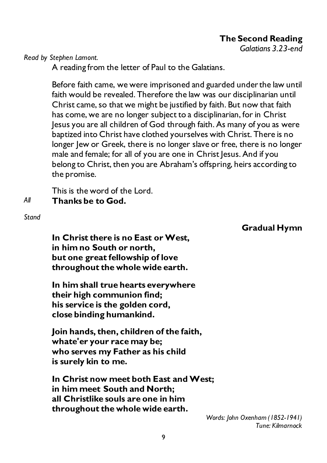**The Second Reading**

*Galatians 3.23-end*

*Read by Stephen Lamont.*

A reading from the letter of Paul to the Galatians.

Before faith came, we were imprisoned and guarded under the law until faith would be revealed. Therefore the law was our disciplinarian until Christ came, so that we might be justified by faith. But now that faith has come, we are no longer subject to a disciplinarian, for in Christ Jesus you are all children of God through faith. As many of you as were baptized into Christ have clothed yourselves with Christ. There is no longer Jew or Greek, there is no longer slave or free, there is no longer male and female; for all of you are one in Christ Jesus. And if you belong to Christ, then you are Abraham's offspring, heirs according to the promise.

This is the word of the Lord. *All* **Thanks be to God.** 

*Stand*

**Gradual Hymn**

**In Christ there is no East or West, in him no South or north, but one great fellowship of love throughout the whole wide earth.**

**In him shall true hearts everywhere their high communion find; his service is the golden cord, close binding humankind.**

**Join hands, then, children of the faith, whate'er your race may be; who serves my Father as his child is surely kin to me.**

**In Christ now meet both East and West; in him meet South and North; all Christlike souls are one in him throughout the whole wide earth.**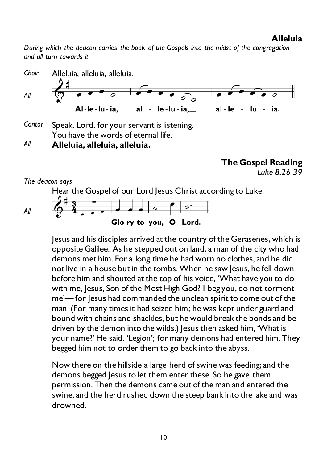#### **Alleluia**

*During which the deacon carries the book of the Gospels into the midst of the congregation and all turn towards it.*



*Cantor* Speak, Lord, for your servant is listening. You have the words of eternal life.

*All* **Alleluia, alleluia, alleluia.**

**The Gospel Reading**

*Luke 8.26-39*

*The deacon says*

Hear the Gospel of our Lord Jesus Christ according to Luke.

*All*



Jesus and his disciples arrived at the country of the Gerasenes, which is opposite Galilee. As he stepped out on land, a man of the city who had demons met him. For a long time he had worn no clothes, and he did not live in a house but in the tombs. When he saw Jesus, he fell down before him and shouted at the top of his voice, 'What have you to do with me, Jesus, Son of the Most High God? I beg you, do not torment me'— for Jesus had commanded the unclean spirit to come out of the man. (For many times it had seized him; he was kept under guard and bound with chains and shackles, but he would break the bonds and be driven by the demon into the wilds.) Jesus then asked him, 'What is your name?' He said, 'Legion'; for many demons had entered him. They begged him not to order them to go back into the abyss.

Now there on the hillside a large herd of swine was feeding; and the demons begged Jesus to let them enter these. So he gave them permission. Then the demons came out of the man and entered the swine, and the herd rushed down the steep bank into the lake and was drowned.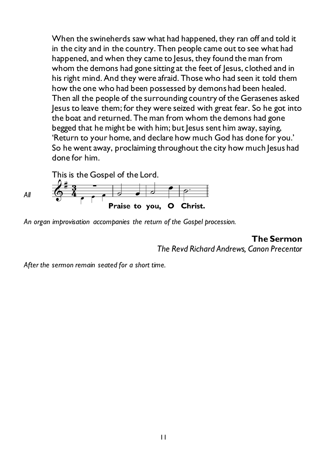When the swineherds saw what had happened, they ran off and told it in the city and in the country. Then people came out to see what had happened, and when they came to Jesus, they found the man from whom the demons had gone sitting at the feet of Jesus, clothed and in his right mind. And they were afraid. Those who had seen it told them how the one who had been possessed by demons had been healed. Then all the people of the surrounding country of the Gerasenes asked Jesus to leave them; for they were seized with great fear. So he got into the boat and returned. The man from whom the demons had gone begged that he might be with him; but lesus sent him away, saying, 'Return to your home, and declare how much God has done for you.' So he went away, proclaiming throughout the city how much Jesus had done for him.

This is the Gospel of the Lord.



*An organ improvisation accompanies the return of the Gospel procession.*

**The Sermon** *The Revd Richard Andrews, Canon Precentor*

*After the sermon remain seated for a short time.*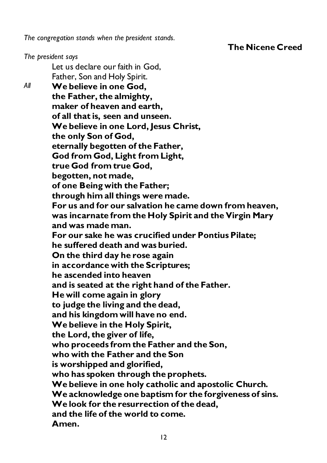*The congregation stands when the president stands.*

**The Nicene Creed**

*The president says*

Let us declare our faith in God, Father, Son and Holy Spirit. *All* **We believe in one God, the Father, the almighty, maker of heaven and earth, of all that is, seen and unseen. We believe in one Lord, Jesus Christ, the only Son of God, eternally begotten of the Father, God from God, Light from Light, true God from true God, begotten, not made, of one Being with the Father; through him all things were made. For us and for our salvation he came down from heaven, was incarnate from the Holy Spirit and the Virgin Mary and was made man. For our sake he was crucified under Pontius Pilate; he suffered death and was buried. On the third day he rose again in accordance with the Scriptures; he ascended into heaven and is seated at the right hand of the Father. He will come again in glory to judge the living and the dead, and his kingdom will have no end. We believe in the Holy Spirit, the Lord, the giver of life, who proceeds from the Father and the Son, who with the Father and the Son is worshipped and glorified, who has spoken through the prophets. We believe in one holy catholic and apostolic Church. We acknowledge one baptism for the forgiveness of sins. We look for the resurrection of the dead, and the life of the world to come. Amen.**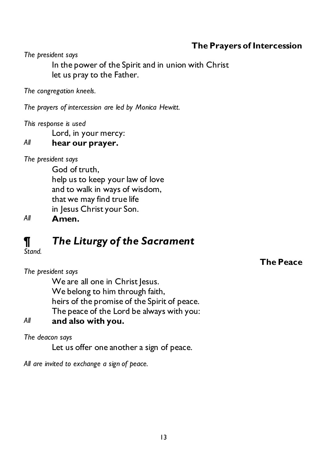#### **The Prayers of Intercession**

**The Peace**

*The president says*

In the power of the Spirit and in union with Christ let us pray to the Father.

*The congregation kneels.*

*The prayers of intercession are led by Monica Hewitt.*

*This response is used*

Lord, in your mercy:

*All* **hear our prayer.**

*The president says*

God of truth, help us to keep your law of love and to walk in ways of wisdom, that we may find true life in Jesus Christ your Son.

*All* **Amen.**

## *¶ The Liturgy of the Sacrament*

*Stand.*

*The president says*

We are all one in Christ Jesus. We belong to him through faith, heirs of the promise of the Spirit of peace. The peace of the Lord be always with you:

*All* **and also with you.** 

*The deacon says*

Let us offer one another a sign of peace.

*All are invited to exchange a sign of peace.*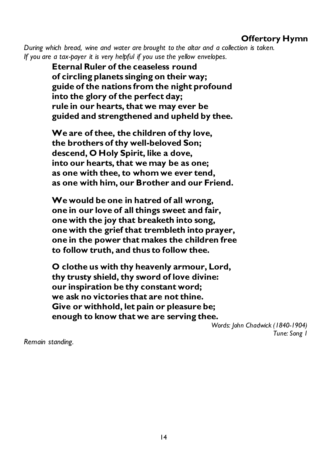#### **Offertory Hymn**

*During which bread, wine and water are brought to the altar and a collection is taken. If you are a tax-payer it is very helpful if you use the yellow envelopes.*

> **Eternal Ruler of the ceaseless round of circling planets singing on their way; guide of the nations from the night profound into the glory of the perfect day; rule in our hearts, that we may ever be guided and strengthened and upheld by thee.**

> **We are of thee, the children of thy love, the brothers of thy well-beloved Son; descend, O Holy Spirit, like a dove, into our hearts, that we may be as one; as one with thee, to whom we ever tend, as one with him, our Brother and our Friend.**

**We would be one in hatred of all wrong, one in our love of all things sweet and fair, one with the joy that breaketh into song, one with the grief that trembleth into prayer, one in the power that makes the children free to follow truth, and thus to follow thee.** 

**O clothe us with thy heavenly armour, Lord, thy trusty shield, thy sword of love divine: our inspiration be thy constant word; we ask no victories that are not thine. Give or withhold, let pain or pleasure be; enough to know that we are serving thee.**

*Words: John Chadwick (1840-1904) Tune: Song 1*

*Remain standing.*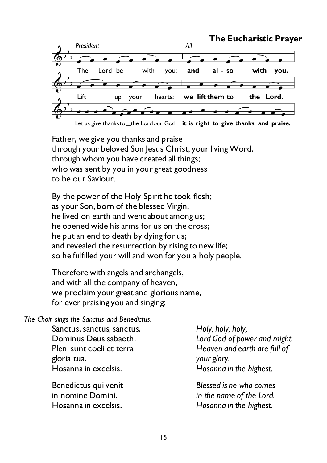

Let us give thanks to the Lordour God: it is right to give thanks and praise.

Father, we give you thanks and praise through your beloved Son Jesus Christ, your living Word, through whom you have created all things; who was sent by you in your great goodness to be our Saviour.

By the power of the Holy Spirit he took flesh; as your Son, born of the blessed Virgin, he lived on earth and went about among us; he opened wide his arms for us on the cross; he put an end to death by dying for us; and revealed the resurrection by rising to new life; so he fulfilled your will and won for you a holy people.

Therefore with angels and archangels, and with all the company of heaven, we proclaim your great and glorious name, for ever praising you and singing:

*The Choir sings the Sanctus and Benedictus.*

Sanctus, sanctus, sanctus, Dominus Deus sabaoth. Pleni sunt coeli et terra gloria tua. Hosanna in excelsis.

Benedictus qui venit in nomine Domini. Hosanna in excelsis.

*Holy, holy, holy, Lord God of power and might. Heaven and earth are full of your glory. Hosanna in the highest.*

*Blessed is he who comes in the name of the Lord. Hosanna in the highest.*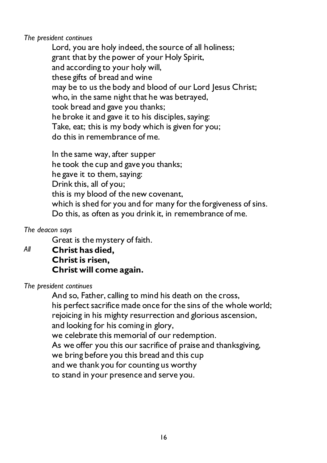*The president continues*

Lord, you are holy indeed, the source of all holiness; grant that by the power of your Holy Spirit, and according to your holy will, these gifts of bread and wine may be to us the body and blood of our Lord Jesus Christ; who, in the same night that he was betrayed, took bread and gave you thanks; he broke it and gave it to his disciples, saying: Take, eat; this is my body which is given for you; do this in remembrance of me.

In the same way, after supper he took the cup and gave you thanks; he gave it to them, saying: Drink this, all of you; this is my blood of the new covenant, which is shed for you and for many for the forgiveness of sins. Do this, as often as you drink it, in remembrance of me.

*The deacon says*

Great is the mystery of faith.

*All* **Christ has died, Christ is risen, Christ will come again.**

*The president continues*

And so, Father, calling to mind his death on the cross, his perfect sacrifice made once for the sins of the whole world; rejoicing in his mighty resurrection and glorious ascension, and looking for his coming in glory, we celebrate this memorial of our redemption. As we offer you this our sacrifice of praise and thanksgiving, we bring before you this bread and this cup and we thank you for counting us worthy to stand in your presence and serve you.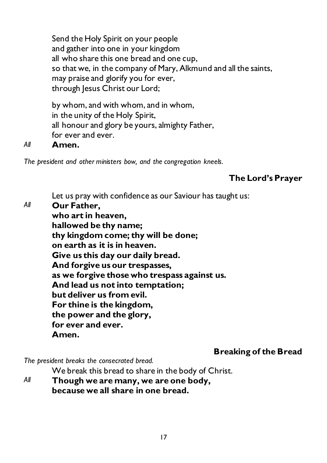Send the Holy Spirit on your people and gather into one in your kingdom all who share this one bread and one cup, so that we, in the company of Mary, Alkmund and all the saints, may praise and glorify you for ever, through Jesus Christ our Lord;

by whom, and with whom, and in whom, in the unity of the Holy Spirit, all honour and glory be yours, almighty Father, for ever and ever.

#### *All* **Amen.**

*The president and other ministers bow, and the congregation kneels.*

#### **The Lord's Prayer**

Let us pray with confidence as our Saviour has taught us:

*All* **Our Father, who art in heaven, hallowed be thy name; thy kingdom come; thy will be done; on earth as it is in heaven. Give us this day our daily bread. And forgive us our trespasses, as we forgive those who trespass against us. And lead us not into temptation; but deliver us from evil. For thine is the kingdom, the power and the glory, for ever and ever. Amen.**

#### **Breaking of the Bread**

*The president breaks the consecrated bread.*

We break this bread to share in the body of Christ.

*All* **Though we are many, we are one body, because we all share in one bread.**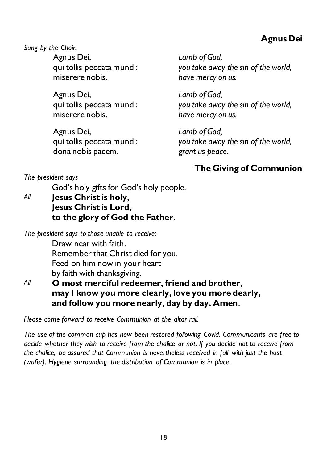#### **Agnus Dei**

*Sung by the Choir.*

Agnus Dei, qui tollis peccata mundi: miserere nobis.

Agnus Dei, qui tollis peccata mundi: miserere nobis.

Agnus Dei, qui tollis peccata mundi: dona nobis pacem.

*Lamb of God, you take away the sin of the world, have mercy on us.* 

*Lamb of God, you take away the sin of the world, have mercy on us.*

*Lamb of God, you take away the sin of the world, grant us peace.*

### **The Giving of Communion**

*The president says*

God's holy gifts for God's holy people.

*All* **Jesus Christ is holy, Jesus Christ is Lord, to the glory of God the Father.**

*The president says to those unable to receive:*

Draw near with faith. Remember that Christ died for you. Feed on him now in your heart by faith with thanksgiving.

*All* **O most merciful redeemer, friend and brother, may I know you more clearly, love you more dearly, and follow you more nearly, day by day. Amen**.

*Please come forward to receive Communion at the altar rail.*

*The use of the common cup has now been restored following Covid. Communicants are free to decide whether they wish to receive from the chalice or not. If you decide not to receive from the chalice, be assured that Communion is nevertheless received in full with just the host (wafer). Hygiene surrounding the distribution of Communion is in place.*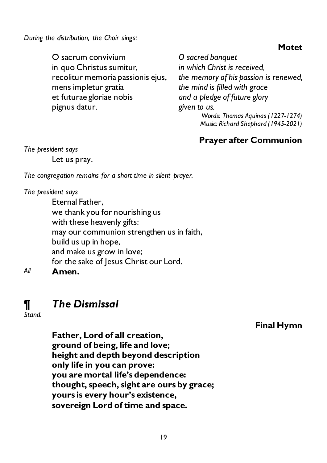*During the distribution, the Choir sings:*

#### **Motet**

O sacrum convivium in quo Christus sumitur, recolitur memoria passionis ejus, mens impletur gratia et futurae gloriae nobis pignus datur.

*O sacred banquet in which Christ is received, the memory of his passion is renewed, the mind is filled with grace and a pledge of future glory given to us. Words: Thomas Aquinas (1227-1274) Music: Richard Shephard (1945-2021)*

#### **Prayer after Communion**

*The president says* Let us pray.

*The congregation remains for a short time in silent prayer.*

#### *The president says*

Eternal Father, we thank you for nourishing us with these heavenly gifts: may our communion strengthen us in faith, build us up in hope, and make us grow in love; for the sake of Jesus Christ our Lord. *All* **Amen.**

## *¶ The Dismissal*

*Stand.*

#### **Final Hymn**

**Father, Lord of all creation, ground of being, life and love; height and depth beyond description only life in you can prove: you are mortal life's dependence: thought, speech, sight are ours by grace; yours is every hour's existence, sovereign Lord of time and space.**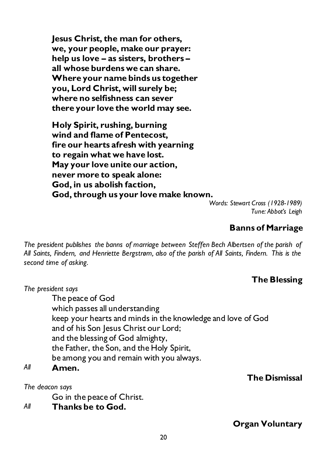**Jesus Christ, the man for others, we, your people, make our prayer: help us love – as sisters, brothers – all whose burdens we can share. Where your name binds us together you, Lord Christ, will surely be; where no selfishness can sever there your love the world may see.**

**Holy Spirit, rushing, burning wind and flame of Pentecost, fire our hearts afresh with yearning to regain what we have lost. May your love unite our action, never more to speak alone: God, in us abolish faction, God, through us your love make known.**

*Words: Stewart Cross (1928-1989) Tune: Abbot's Leigh*

#### **Banns of Marriage**

*The president publishes the banns of marriage between Steffen Bech Albertsen of the parish of All Saints, Findern, and Henriette Bergstrøm, also of the parish of All Saints, Findern. This is the second time of asking.*

#### **The Blessing**

*The president says*

The peace of God which passes all understanding keep your hearts and minds in the knowledge and love of God and of his Son Jesus Christ our Lord; and the blessing of God almighty, the Father, the Son, and the Holy Spirit, be among you and remain with you always.

#### *All* **Amen.**

*The deacon says*

Go in the peace of Christ.

*All* **Thanks be to God.**

#### **The Dismissal**

**Organ Voluntary**